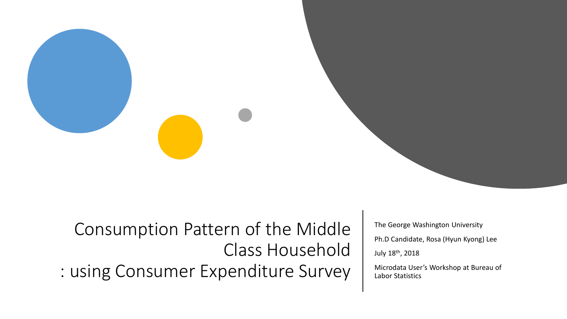Consumption Pattern of the Middle Class Household : using Consumer Expenditure Survey

The George Washington University Ph.D Candidate, Rosa (Hyun Kyong) Lee July 18th, 2018 Microdata User's Workshop at Bureau of

Labor Statistics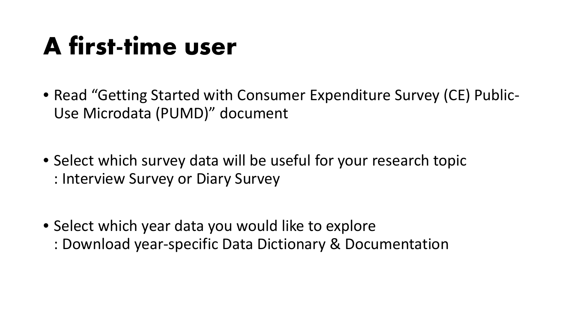### **A first-time user**

- Read "Getting Started with Consumer Expenditure Survey (CE) Public-Use Microdata (PUMD)" document
- Select which survey data will be useful for your research topic : Interview Survey or Diary Survey
- Select which year data you would like to explore : Download year-specific Data Dictionary & Documentation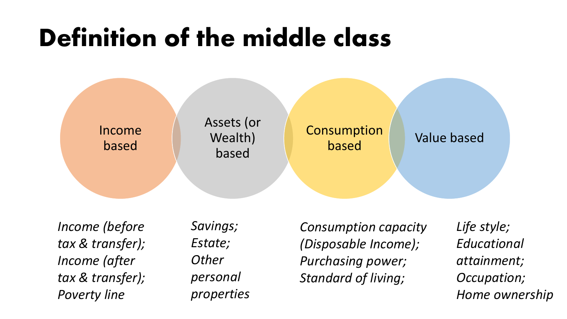## **Definition of the middle class**



*Income (before tax & transfer); Income (after tax & transfer); Poverty line*

*Savings; Estate; Other personal properties*

*Consumption capacity (Disposable Income); Purchasing power; Standard of living;*

*Life style; Educational attainment; Occupation; Home ownership*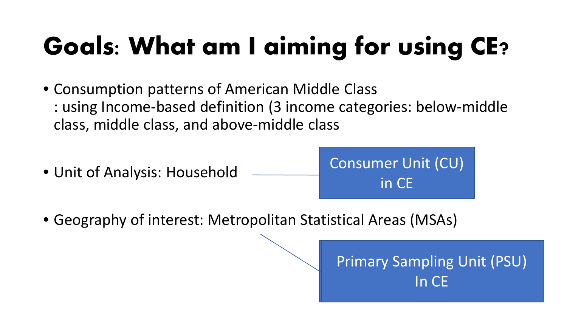# **Goals: What am I aiming for using CE?**

- Consumption patterns of American Middle Class : using Income-based definition (3 income categories: below-middle class, middle class, and above-middle class
- Unit of Analysis: Household

Consumer Unit (CU) in CE

• Geography of interest: Metropolitan Statistical Areas (MSAs)

Primary Sampling Unit (PSU) In CE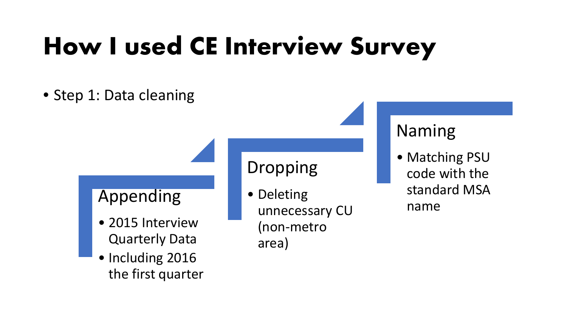# **How I used CE Interview Survey**

#### • Step 1: Data cleaning

#### Appending

- 2015 Interview Quarterly Data
- Including 2016 the first quarter

#### Dropping

• Deleting unnecessary CU (non-metro area)

#### Naming

• Matching PSU code with the standard MSA name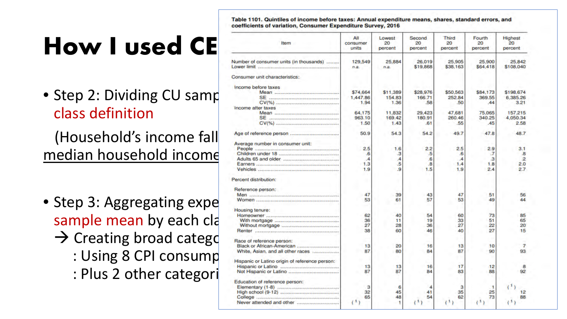# How I used CE

• Step 2: Dividing CU samp class definition

(Household's income fall median household income)

- Step 3: Aggregating expe sample mean by each cla  $\rightarrow$  Creating broad catego : Using 8 CPI consump
	- : Plus 2 other categori

Table 1101. Quintiles of income before taxes: Annual expenditure means, shares, standard errors, and coefficients of variation, Consumer Expenditure Survey, 2016

| Item                                           | All<br>consumer<br>units | Lowest<br>20<br>percent | Second<br>20<br>percent | <b>Third</b><br>20<br>percent | Fourth<br>20<br>percent | Highest<br>20<br>percent |
|------------------------------------------------|--------------------------|-------------------------|-------------------------|-------------------------------|-------------------------|--------------------------|
| Number of consumer units (in thousands)        | 129,549<br>n.a.          | 25,884<br>n.a.          | 26,019<br>\$19,868      | 25,905<br>\$38,163            | 25,900<br>\$64,418      | 25,842<br>\$108,040      |
| Consumer unit characteristics:                 |                          |                         |                         |                               |                         |                          |
| Income before taxes                            |                          |                         |                         |                               |                         |                          |
|                                                | \$74,664                 | \$11,389                | \$28,976                | \$50,563                      | \$84,173                | \$198.674                |
|                                                | 1,447.86                 | 154.83                  | 166.71                  | 252.84                        | 369.55                  | 6.385.26                 |
|                                                | 1.94                     | 1.36                    | .58                     | .50                           | 44                      | 3.21                     |
| Income after taxes                             |                          |                         |                         |                               |                         |                          |
|                                                | 64.175                   | 11,832                  | 29,423                  | 47.681                        | 75,065                  | 157.215                  |
|                                                | 963.10                   | 169.42                  | 180.91                  | 260.46                        | 340.25                  | 4,050.34                 |
|                                                | 1.50                     | 1.43                    | -61                     | .55                           | .45                     | 2.58                     |
|                                                | 50.9                     | 54.3                    | 54.2                    | 49.7                          | 47.8                    | 48.7                     |
|                                                |                          |                         |                         |                               |                         |                          |
| Average number in consumer unit:               |                          |                         |                         |                               |                         |                          |
|                                                | 2.5                      | 1.6                     | 2.2                     | 2.5                           | 2.9                     | 3.1                      |
|                                                | 6                        | $\mathbf{3}$            | .5                      | 6                             | -7                      | $\mathbf{B}$             |
|                                                | $\mathcal{A}$            | $\overline{A}$          | 6                       | $\mathcal{A}$                 | з                       | $\overline{2}$           |
|                                                | 1.3                      | .5                      | $\mathbf{8}$            | 1.4                           | 1.8                     | 2.0                      |
|                                                | 1.9                      | 9.                      | 1.5                     | 1.9                           | 2.4                     | 2.7                      |
| Percent distribution:                          |                          |                         |                         |                               |                         |                          |
| Reference person:                              |                          |                         |                         |                               |                         |                          |
| Men and announcement and announcement and      | 47                       | 39                      | 43                      | 47                            | 51                      | 56                       |
|                                                | 53                       | 61                      | 57                      | 53                            | 49                      | 44                       |
| Housing tenure:                                |                          |                         |                         |                               |                         |                          |
|                                                | 62                       | 40                      | 54                      | 60                            | 73                      | 85                       |
|                                                | 36                       | 11                      | 19                      | 33                            | 51                      | 65                       |
|                                                | 27                       | 28                      | 36                      | 27                            | 22                      | 20                       |
|                                                | 38                       | 60                      | 46                      | 40                            | 27                      | 15                       |
| Race of reference person:                      |                          |                         |                         |                               |                         |                          |
| Black or African-American                      | 13                       | 20                      | 16                      | 13                            | 10                      | 7                        |
| White, Asian, and all other races              | 87                       | 80                      | 84                      | 87                            | 90                      | 93                       |
| Hispanic or Latino origin of reference person: |                          |                         |                         |                               |                         |                          |
|                                                | 13                       | 13                      | 16                      | 17                            | 12                      | 8                        |
|                                                | 87                       | 87                      | 84                      | 83                            | 88                      | 92                       |
| Education of reference person:                 |                          |                         |                         |                               |                         |                          |
|                                                | з                        | 6                       | 4                       | з                             |                         |                          |
|                                                | 32                       | 45                      | 41                      | 35                            | 25                      | $12^{12}$                |
|                                                | 65                       | 48                      | 54                      | 62                            | 73                      | 88                       |
|                                                | (1)                      |                         |                         | -1                            | (1)                     |                          |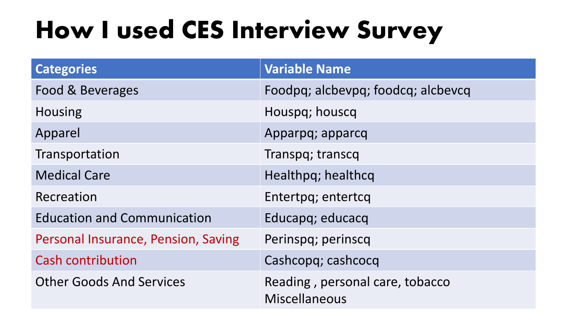# **How I used CES Interview Survey**

| <b>Categories</b>                   | <b>Variable Name</b>                                    |
|-------------------------------------|---------------------------------------------------------|
| Food & Beverages                    | Foodpq; alcbevpq; foodcq; alcbevcq                      |
| <b>Housing</b>                      | Houspq; houscq                                          |
| Apparel                             | Apparpq; apparcq                                        |
| Transportation                      | Transpq; transcq                                        |
| <b>Medical Care</b>                 | Healthpq; healthcq                                      |
| Recreation                          | Entertpq; entertcq                                      |
| <b>Education and Communication</b>  | Educapq; educacq                                        |
| Personal Insurance, Pension, Saving | Perinspq; perinscq                                      |
| <b>Cash contribution</b>            | Cashcopq; cashcocq                                      |
| <b>Other Goods And Services</b>     | Reading, personal care, tobacco<br><b>Miscellaneous</b> |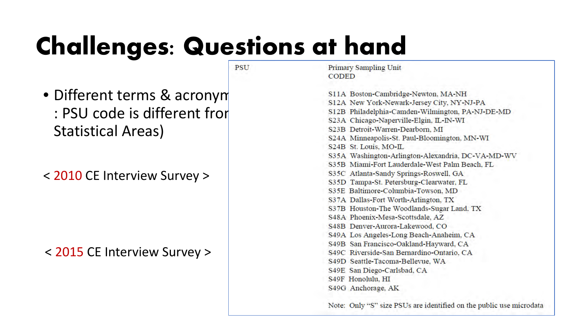# **Challenges: Questions at hand**

**PSU** 

- Different terms & acronym Statistical Areas)
- < 2010 CE Interview Survey >

#### < 2015 CE Interview Survey >

**Primary Sampling Unit CODED** 

S11A Boston-Cambridge-Newton, MA-NH : PSU code is different from EXAMEL STANEW York-Newark-Jersey City, NY-NJ-PA<br>
PSU code is different from EXAMEL SALA Chicago-Naperville-Elgin, IL-IN-WI S23B Detroit-Warren-Dearborn, MI S24A Minneapolis-St. Paul-Bloomington, MN-WI S24B St. Louis, MO-IL S35A Washington-Arlington-Alexandria, DC-VA-MD-WV S35B Miami-Fort Lauderdale-West Palm Beach, FL S35C Atlanta-Sandy Springs-Roswell, GA S35D Tampa-St. Petersburg-Clearwater, FL S35E Baltimore-Columbia-Towson, MD S37A Dallas-Fort Worth-Arlington, TX S37B Houston-The Woodlands-Sugar Land, TX S48A Phoenix-Mesa-Scottsdale, AZ S48B Denver-Aurora-Lakewood, CO S49A Los Angeles-Long Beach-Anaheim, CA S49B San Francisco-Oakland-Hayward, CA S49C Riverside-San Bernardino-Ontario, CA S49D Seattle-Tacoma-Bellevue, WA S49E San Diego-Carlsbad, CA S49F Honolulu, HI S49G Anchorage, AK

Note: Only "S" size PSUs are identified on the public use microdata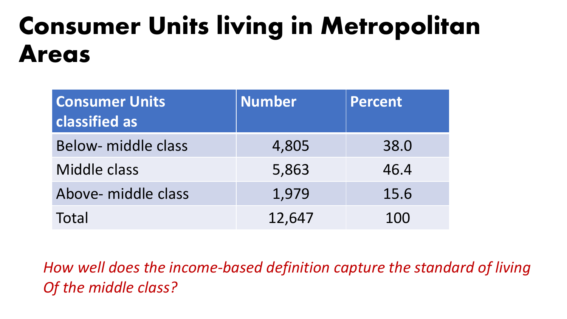## **Consumer Units living in Metropolitan Areas**

| <b>Consumer Units</b><br>classified as | <b>Number</b> | <b>Percent</b> |
|----------------------------------------|---------------|----------------|
| Below- middle class                    | 4,805         | 38.0           |
| Middle class                           | 5,863         | 46.4           |
| Above- middle class                    | 1,979         | 15.6           |
| Total                                  | 12,647        | 100            |

*How well does the income-based definition capture the standard of living Of the middle class?*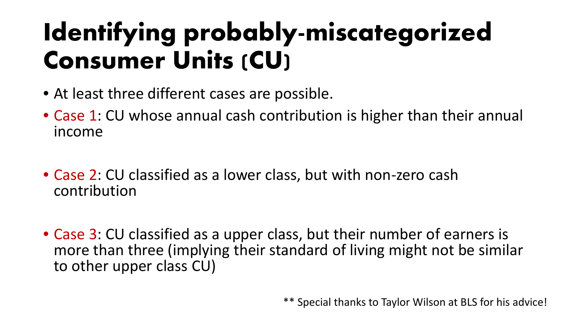# **Identifying probably-miscategorized Consumer Units (CU)**

- At least three different cases are possible.
- Case 1: CU whose annual cash contribution is higher than their annual income
- Case 2: CU classified as a lower class, but with non-zero cash contribution
- Case 3: CU classified as a upper class, but their number of earners is more than three (implying their standard of living might not be similar to other upper class CU)

\*\* Special thanks to Taylor Wilson at BLS for his advice!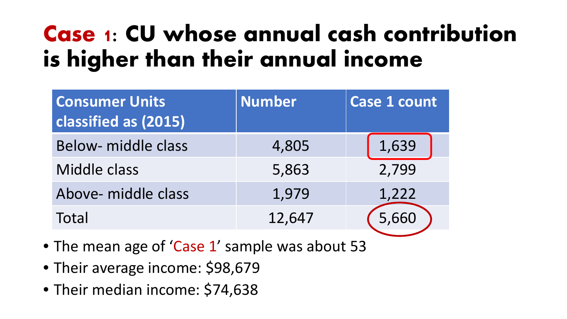### **Case 1: CU whose annual cash contribution is higher than their annual income**

| <b>Consumer Units</b><br>classified as (2015) | <b>Number</b> | <b>Case 1 count</b> |
|-----------------------------------------------|---------------|---------------------|
| Below- middle class                           | 4,805         | 1,639               |
| Middle class                                  | 5,863         | 2,799               |
| Above- middle class                           | 1,979         | 1,222               |
| Total                                         | 12,647        | 5,660               |

- The mean age of 'Case 1' sample was about 53
- Their average income: \$98,679
- Their median income: \$74,638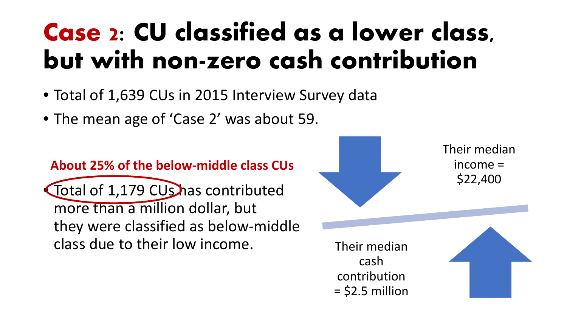# **Case 2: CU classified as a lower class, but with non-zero cash contribution**

- Total of 1,639 CUs in 2015 Interview Survey data
- The mean age of 'Case 2' was about 59.

#### **About 25% of the below-middle class CUs**

• Total of 1,179 CUs has contributed more than a million dollar, but they were classified as below-middle class due to their low income.

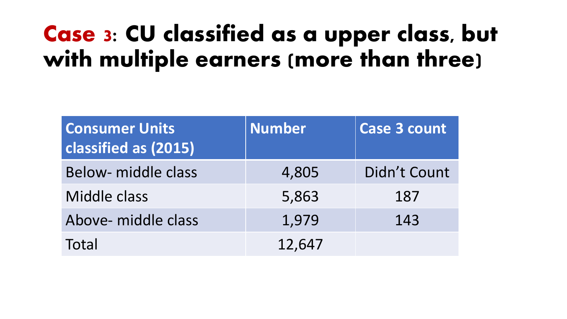### **Case 3: CU classified as a upper class, but with multiple earners (more than three)**

| <b>Consumer Units</b><br>classified as (2015) | <b>Number</b> | <b>Case 3 count</b> |
|-----------------------------------------------|---------------|---------------------|
| <b>Below-</b> middle class                    | 4,805         | Didn't Count        |
| Middle class                                  | 5,863         | 187                 |
| Above- middle class                           | 1,979         | 143                 |
| Total                                         | 12,647        |                     |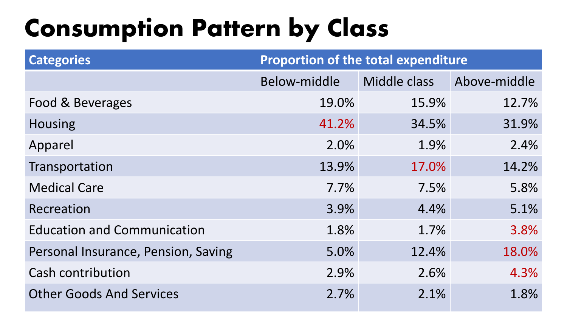# **Consumption Pattern by Class**

| <b>Categories</b>                   | <b>Proportion of the total expenditure</b> |              |              |  |
|-------------------------------------|--------------------------------------------|--------------|--------------|--|
|                                     | Below-middle                               | Middle class | Above-middle |  |
| Food & Beverages                    | 19.0%                                      | 15.9%        | 12.7%        |  |
| <b>Housing</b>                      | 41.2%                                      | 34.5%        | 31.9%        |  |
| Apparel                             | 2.0%                                       | 1.9%         | 2.4%         |  |
| Transportation                      | 13.9%                                      | 17.0%        | 14.2%        |  |
| <b>Medical Care</b>                 | 7.7%                                       | 7.5%         | 5.8%         |  |
| Recreation                          | 3.9%                                       | 4.4%         | 5.1%         |  |
| <b>Education and Communication</b>  | 1.8%                                       | 1.7%         | 3.8%         |  |
| Personal Insurance, Pension, Saving | 5.0%                                       | 12.4%        | 18.0%        |  |
| <b>Cash contribution</b>            | 2.9%                                       | 2.6%         | 4.3%         |  |
| <b>Other Goods And Services</b>     | 2.7%                                       | 2.1%         | 1.8%         |  |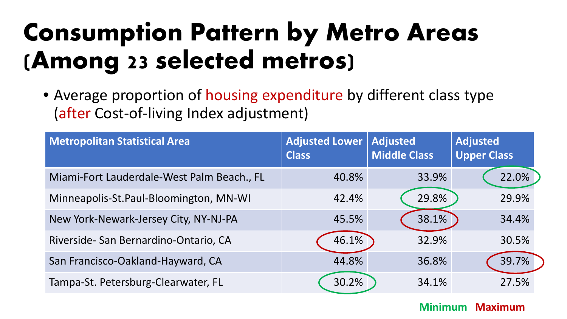## **Consumption Pattern by Metro Areas (Among 23 selected metros)**

• Average proportion of housing expenditure by different class type (after Cost-of-living Index adjustment)

| <b>Metropolitan Statistical Area</b>       | <b>Adjusted Lower</b><br><b>Class</b> | <b>Adjusted</b><br><b>Middle Class</b> | <b>Adjusted</b><br><b>Upper Class</b> |
|--------------------------------------------|---------------------------------------|----------------------------------------|---------------------------------------|
| Miami-Fort Lauderdale-West Palm Beach., FL | 40.8%                                 | 33.9%                                  | 22.0%                                 |
| Minneapolis-St.Paul-Bloomington, MN-WI     | 42.4%                                 | 29.8%                                  | 29.9%                                 |
| New York-Newark-Jersey City, NY-NJ-PA      | 45.5%                                 | 38.1%                                  | 34.4%                                 |
| Riverside- San Bernardino-Ontario, CA      | 46.1%                                 | 32.9%                                  | 30.5%                                 |
| San Francisco-Oakland-Hayward, CA          | 44.8%                                 | 36.8%                                  | 39.7%                                 |
| Tampa-St. Petersburg-Clearwater, FL        | 30.2%                                 | 34.1%                                  | 27.5%                                 |

#### **Minimum Maximum**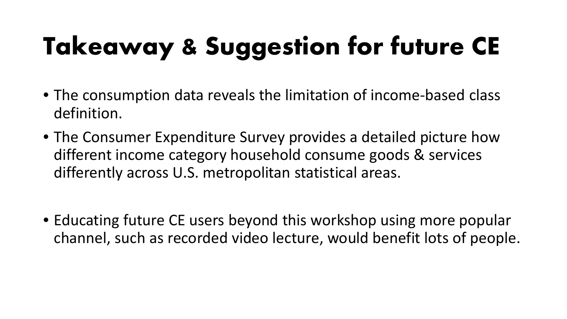# **Takeaway & Suggestion for future CE**

- The consumption data reveals the limitation of income-based class definition.
- The Consumer Expenditure Survey provides a detailed picture how different income category household consume goods & services differently across U.S. metropolitan statistical areas.
- Educating future CE users beyond this workshop using more popular channel, such as recorded video lecture, would benefit lots of people.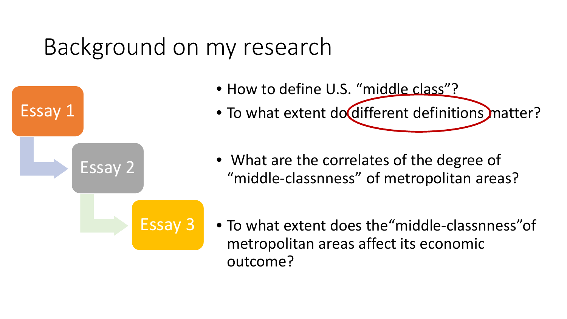#### Background on my research

- How to define U.S. "middle class"?
- To what extent do different definitions matter?

• What are the correlates of the degree of "middle-classnness" of metropolitan areas?

Essay 3

Essay 2

Essay 1

• To what extent does the"middle-classnness"of metropolitan areas affect its economic outcome?